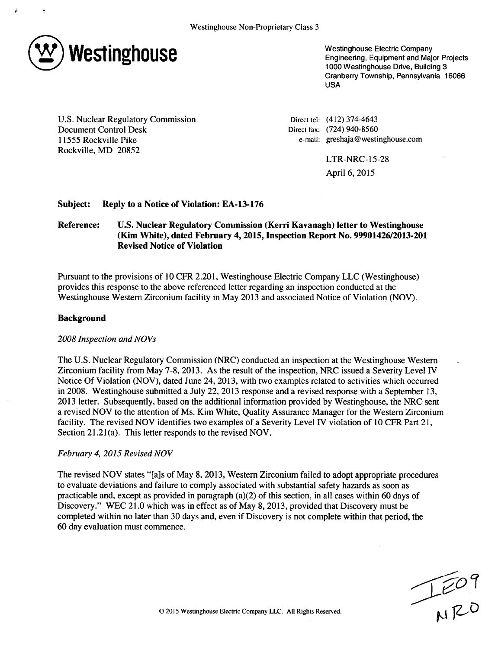

Westinghouse Electric Company Engineering, Equipment and Major Projects 1000 Westinghouse Drive, Building 3 Cranberry Township, Pennsylvania 16066 USA

U.S. Nuclear Regulatory Commission Document Control Desk 11555 Rockville Pike Rockville, MD 20852

Direct tel: (412) 374-4643 Direct fax: (724) 940-8560 e-mail: greshaja@westinghouse.com

> LTR-NRC-15-28 April 6, 2015

### Subject: Reply to a Notice of Violation: **EA-13-176**

# Reference: **U.S.** Nuclear Regulatory Commission (Kerri Kavanagh) letter to Westinghouse (Kim White), dated February 4, 2015, Inspection Report No. **99901426/2013-201** Revised Notice of Violation

Pursuant to the provisions of 10 CFR 2.201, Westinghouse Electric Company LLC (Westinghouse) provides this response to the above referenced letter regarding an inspection conducted at the Westinghouse Western Zirconium facility in May 2013 and associated Notice of Violation (NOV).

#### Background

### *2008 Inspection and NOVs*

The U.S. Nuclear Regulatory Commission (NRC) conducted an inspection at the Westinghouse Western Zirconium facility from May 7-8, 2013. As the result of the inspection, NRC issued a Severity Level IV Notice Of Violation (NOV), dated June 24, 2013, with two examples related to activities which occurred in 2008. Westinghouse submitted a July 22, 2013 response and a revised response with a September 13, 2013 letter. Subsequently, based on the additional information provided by Westinghouse, the NRC sent a revised NOV to the attention of Ms. Kim White, Quality Assurance Manager for the Western Zirconium facility. The revised NOV identifies two examples of a Severity Level IV violation of 10 CFR Part 21, Section 21.21(a). This letter responds to the revised NOV.

### *February 4, 2015 Revised NOV*

The revised NOV states "[a]s of May 8, 2013, Western Zirconium failed to adopt appropriate procedures to evaluate deviations and failure to comply associated with substantial safety hazards as soon as practicable and, except as provided in paragraph (a)(2) of this section, in all cases within 60 days of Discovery." WEC 21.0 which was in effect as of May 8, 2013, provided that Discovery must be completed within no later than 30 days and, even if Discovery is not complete within that period, the 60 day evaluation must commence.

**ED 9**<br> **ED 9**<br> **A Electric Company LLC.** All Rights Reserved.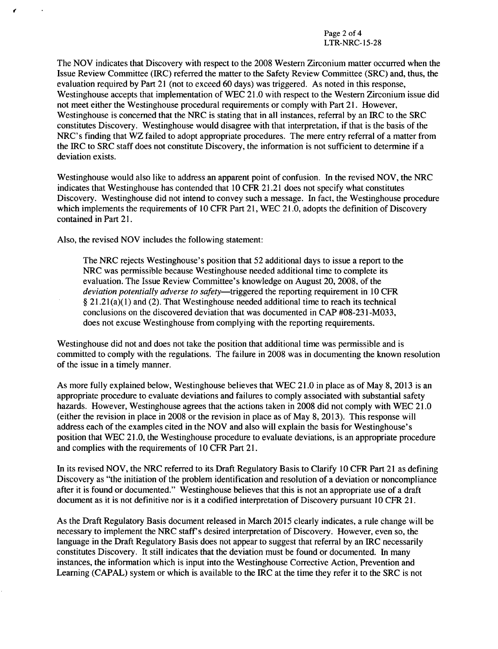The NOV indicates that Discovery with respect to the 2008 Western Zirconium matter occurred when the Issue Review Committee (IRC) referred the matter to the Safety Review Committee (SRC) and, thus, the evaluation required by Part 21 (not to exceed 60 days) was triggered. As noted in this response, Westinghouse accepts that implementation of WEC 21.0 with respect to the Western Zirconium issue did not meet either the Westinghouse procedural requirements or comply with Part 21. However, Westinghouse is concerned that the NRC is stating that in all instances, referral by an IRC to the SRC constitutes Discovery. Westinghouse would disagree with that interpretation, if that is the basis of the NRC's finding that WZ failed to adopt appropriate procedures. The mere entry referral of a matter from the IRC to SRC staff does not constitute Discovery, the information is not sufficient to determine if a deviation exists.

Westinghouse would also like to address an apparent point of confusion. In the revised NOV, the NRC indicates that Westinghouse has contended that 10 CFR 21.21 does not specify what constitutes Discovery. Westinghouse did not intend to convey such a message. In fact, the Westinghouse procedure which implements the requirements of 10 CFR Part 21, WEC 21.0, adopts the definition of Discovery contained in Part 21.

Also, the revised NOV includes the following statement:

The NRC rejects Westinghouse's position that 52 additional days to issue a report to the NRC was permissible because Westinghouse needed additional time to complete its evaluation. The Issue Review Committee's knowledge on August 20, 2008, of the deviation potentially adverse to safety—triggered the reporting requirement in 10 CFR § 21.21 (a)(1) and (2). That Westinghouse needed additional time to reach its technical conclusions on the discovered deviation that was documented in CAP #08-231 -M033, does not excuse Westinghouse from complying with the reporting requirements.

Westinghouse did not and does not take the position that additional time was permissible and is committed to comply with the regulations. The failure in 2008 was in documenting the known resolution of the issue in a timely manner.

As more fully explained below, Westinghouse believes that WEC 21.0 in place as of May 8, 2013 is an appropriate procedure to evaluate deviations and failures to comply associated with substantial safety hazards. However, Westinghouse agrees that the actions taken in 2008 did not comply with WEC 21.0 (either the revision in place in 2008 or the revision in place as of May 8, 2013). This response will address each of the examples cited in the NOV and also will explain the basis for Westinghouse's position that WEC 21.0, the Westinghouse procedure to evaluate deviations, is an appropriate procedure and complies with the requirements of 10 CFR Part 21.

In its revised NOV, the NRC referred to its Draft Regulatory Basis to Clarify 10 CFR Part 21 as defining Discovery as "the initiation of the problem identification and resolution of a deviation or noncompliance after it is found or documented." Westinghouse believes that this is not an appropriate use of a draft document as it is not definitive nor is it a codified interpretation of Discovery pursuant 10 CFR 21.

As the Draft Regulatory Basis document released in March 2015 clearly indicates, a rule change will be necessary to implement the NRC staff's desired interpretation of Discovery. However, even so, the language in the Draft Regulatory Basis does not appear to suggest that referral by an IRC necessarily constitutes Discovery. It still indicates that the deviation must be found or documented. In many instances, the information which is input into the Westinghouse Corrective Action, Prevention and Learning (CAPAL) system or which is available to the IRC at the time they refer it to the SRC is not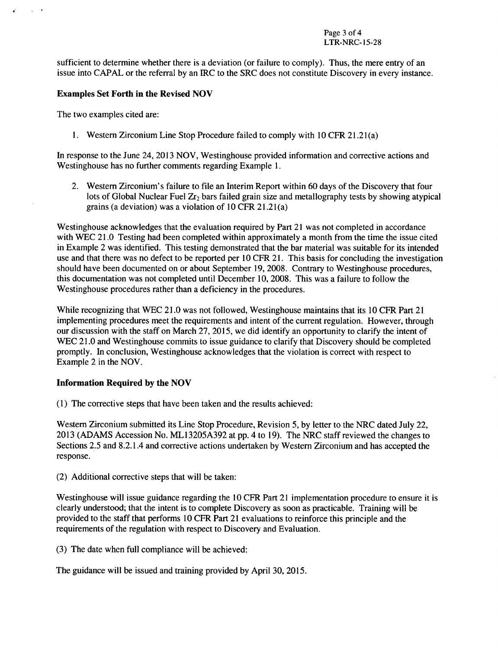sufficient to determine whether there is a deviation (or failure to comply). Thus, the mere entry of an issue into **CAPAL** or the referral **by** an IRC to the SRC does not constitute Discovery in every instance.

# Examples Set Forth in the Revised **NOV**

The two examples cited are:

 $\lambda$  and  $\lambda$ 

**1.** Western Zirconium Line Stop Procedure failed to comply with **10** CFR 21.21(a)

In response to the June 24, **2013 NOV,** Westinghouse provided information and corrective actions and Westinghouse has no further comments regarding Example **1.**

2. Western Zirconium's failure to file an Interim Report within **60** days of the Discovery that four lots of Global Nuclear Fuel Zr<sub>2</sub> bars failed grain size and metallography tests by showing atypical grains (a deviation) was a violation of **10** CFR 21.21 (a)

Westinghouse acknowledges that the evaluation required **by** Part 21 was not completed in accordance with WEC 21.0 Testing had been completed within approximately a month from the time the issue cited in Example 2 was identified. This testing demonstrated that the bar material was suitable for its intended use and that there was no defect to be reported per **10** CFR 21. This basis for concluding the investigation should have been documented on or about September **19, 2008.** Contrary to Westinghouse procedures, this documentation was not completed until December **10, 2008.** This was a failure to follow the Westinghouse procedures rather than a deficiency in the procedures.

While recognizing that AIEC 2 **1.0** was not followed, Westinghouse maintains that its **10** CFR Part 21 implementing procedures meet the requirements and intent of the current regulation. However, through our discussion with the staff on March **27, 2015,** we did identify an opportunity to clarify the intent of WEC 21.0 and Westinghouse commits to issue guidance to clarify that Discovery should be completed promptly. In conclusion, Westinghouse acknowledges that the violation is correct with respect to Example 2 in the **NOV.**

### Information Required **by** the **NOV**

**(1)** The corrective steps that have been taken and the results achieved:

Western Zirconium submitted its Line Stop Procedure, Revision **5, by** letter to the NRC dated July 22, **2013 (ADAMS** Accession No. ML **I 3205A392** at **pp.** 4 to **19).** The NRC staff reviewed the changes to Sections **2.5** and 8.2.1.4 and corrective actions undertaken **by** Western Zirconium and has accepted the response.

(2) Additional corrective steps that will be taken:

Westinghouse will issue guidance regarding the **10** CFR Part 21 implementation procedure to ensure it is clearly understood; that the intent is to complete Discovery as soon as practicable. Training will be provided to the staff that performs **10** CFR Part 21 evaluations to reinforce this principle and the requirements of the regulation with respect to Discovery and Evaluation.

**(3)** The date when full compliance will be achieved:

The guidance will be issued and training provided **by** April **30, 2015.**